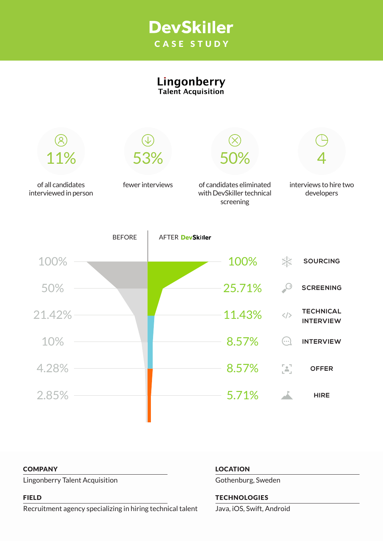# **DevSkiller** CASE STUDY

# Lingonberry<br>Talent Acquisition



#### **COMPANY**

Lingonberry Talent Acquisition

#### FIELD

Recruitment agency specializing in hiring technical talent

#### **LOCATION**

Gothenburg, Sweden

#### **TECHNOLOGIES**

Java, iOS, Swift, Android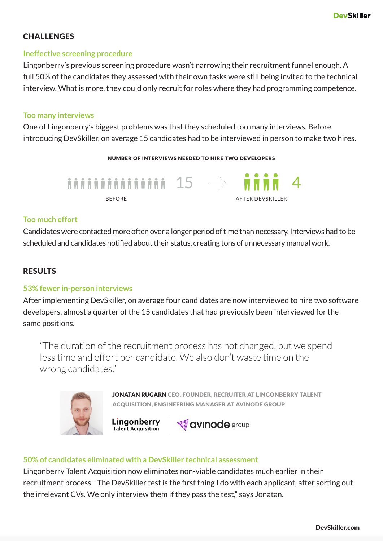## **CHALLENGES**

#### **Ineffective screening procedure**

Lingonberry's previous screening procedure wasn't narrowing their recruitment funnel enough. A full 50% of the candidates they assessed with their own tasks were still being invited to the technical interview. What is more, they could only recruit for roles where they had programming competence.

#### **Too many interviews**

One of Lingonberry's biggest problems was that they scheduled too many interviews. Before introducing DevSkiller, on average 15 candidates had to be interviewed in person to make two hires.

#### NUMBER OF INTERVIEWS NEEDED TO HIRE TWO DEVELOPERS



#### **Too much effort**

Candidates were contacted more often over a longer period of time than necessary. Interviews had to be scheduled and candidates notified about their status, creating tons of unnecessary manual work.

#### **RESULTS**

#### **53% fewer in-person interviews**

After implementing DevSkiller, on average four candidates are now interviewed to hire two software developers, almost a quarter of the 15 candidates that had previously been interviewed for the same positions.

"The duration of the recruitment process has not changed, but we spend less time and effort per candidate. We also don't waste time on the wrong candidates."



JONATAN RUGARN CEO, FOUNDER, RECRUITER AT LINGONBERRY TALENT ACQUISITION, ENGINEERING MANAGER AT AVINODE GROUP

**Lingonberry**<br>Talent Acquisition



#### **50% of candidates eliminated with a DevSkiller technical assessment**

Lingonberry Talent Acquisition now eliminates non-viable candidates much earlier in their recruitment process. "The DevSkiller test is the first thing I do with each applicant, after sorting out the irrelevant CVs. We only interview them if they pass the test," says Jonatan.